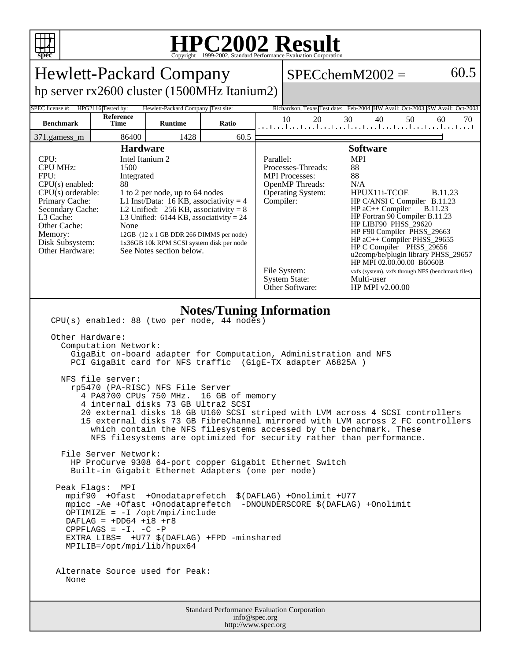

## **HPC2002 Result**

| Copyright @1999-2002, Dianuaru i criormance Evanuation Corporation                                                                                                                                                                                                                                                                                                                                                                                                                                                                                                                                                                                                                                                                                                                                                                                                                                                                                                                                                                                                                                                                                                                                                                     |                    |                                    |                                                              |                                                                                                                                                                                                                                                                                                                                                                                                                                                                                                                                                                                                                                                     |          |                                                                             |          |
|----------------------------------------------------------------------------------------------------------------------------------------------------------------------------------------------------------------------------------------------------------------------------------------------------------------------------------------------------------------------------------------------------------------------------------------------------------------------------------------------------------------------------------------------------------------------------------------------------------------------------------------------------------------------------------------------------------------------------------------------------------------------------------------------------------------------------------------------------------------------------------------------------------------------------------------------------------------------------------------------------------------------------------------------------------------------------------------------------------------------------------------------------------------------------------------------------------------------------------------|--------------------|------------------------------------|--------------------------------------------------------------|-----------------------------------------------------------------------------------------------------------------------------------------------------------------------------------------------------------------------------------------------------------------------------------------------------------------------------------------------------------------------------------------------------------------------------------------------------------------------------------------------------------------------------------------------------------------------------------------------------------------------------------------------------|----------|-----------------------------------------------------------------------------|----------|
| <b>Hewlett-Packard Company</b>                                                                                                                                                                                                                                                                                                                                                                                                                                                                                                                                                                                                                                                                                                                                                                                                                                                                                                                                                                                                                                                                                                                                                                                                         |                    |                                    |                                                              |                                                                                                                                                                                                                                                                                                                                                                                                                                                                                                                                                                                                                                                     |          | $SPECchemM2002 =$                                                           | 60.5     |
| hp server rx2600 cluster (1500MHz Itanium2)                                                                                                                                                                                                                                                                                                                                                                                                                                                                                                                                                                                                                                                                                                                                                                                                                                                                                                                                                                                                                                                                                                                                                                                            |                    |                                    |                                                              |                                                                                                                                                                                                                                                                                                                                                                                                                                                                                                                                                                                                                                                     |          |                                                                             |          |
| SPEC license #:                                                                                                                                                                                                                                                                                                                                                                                                                                                                                                                                                                                                                                                                                                                                                                                                                                                                                                                                                                                                                                                                                                                                                                                                                        | HPG2116 Tested by: | Hewlett-Packard Company Test site: |                                                              |                                                                                                                                                                                                                                                                                                                                                                                                                                                                                                                                                                                                                                                     |          | Richardson, Texas Test date: Feb-2004 HW Avail: Oct-2003 SW Avail: Oct-2003 |          |
| <b>Benchmark</b>                                                                                                                                                                                                                                                                                                                                                                                                                                                                                                                                                                                                                                                                                                                                                                                                                                                                                                                                                                                                                                                                                                                                                                                                                       | Reference<br>Time  | <b>Runtime</b>                     | Ratio                                                        |                                                                                                                                                                                                                                                                                                                                                                                                                                                                                                                                                                                                                                                     | 10<br>20 | 30<br>40<br>50<br>المتابيط بتباعيط بتباعيط بتباعث أغيط بتأعيط بتأعيا تناغب  | 60<br>70 |
| 371.gamess_m                                                                                                                                                                                                                                                                                                                                                                                                                                                                                                                                                                                                                                                                                                                                                                                                                                                                                                                                                                                                                                                                                                                                                                                                                           | 86400              | 1428                               | 60.5                                                         |                                                                                                                                                                                                                                                                                                                                                                                                                                                                                                                                                                                                                                                     |          |                                                                             |          |
| <b>Hardware</b><br>CPU:<br>Intel Itanium 2<br><b>CPU MHz:</b><br>1500<br>FPU:<br>Integrated<br>$CPU(s)$ enabled:<br>88<br>$CPU(s)$ orderable:<br>1 to 2 per node, up to 64 nodes<br>L1 Inst/Data: 16 KB, associativity = $4$<br>Primary Cache:<br>Secondary Cache:<br>L2 Unified: $256$ KB, associativity = 8<br>L3 Cache:<br>L3 Unified: $6144$ KB, associativity = 24<br>Other Cache:<br>None<br>Memory:<br>12GB (12 x 1 GB DDR 266 DIMMS per node)<br>Disk Subsystem:<br>1x36GB 10k RPM SCSI system disk per node<br>Other Hardware:<br>See Notes section below.                                                                                                                                                                                                                                                                                                                                                                                                                                                                                                                                                                                                                                                                    |                    |                                    |                                                              | <b>Software</b><br><b>MPI</b><br>Parallel:<br>Processes-Threads:<br>88<br>88<br><b>MPI</b> Processes:<br>OpenMP Threads:<br>N/A<br>Operating System:<br>HPUX11i-TCOE<br><b>B.11.23</b><br>Compiler:<br>HP C/ANSI C Compiler B.11.23<br>$HP$ aC++ Compiler<br><b>B.11.23</b><br>HP Fortran 90 Compiler B.11.23<br>HP LIBF90 PHSS_29620<br>HP F90 Compiler PHSS_29663<br>HP aC++ Compiler PHSS_29655<br>HP C Compiler PHSS_29656<br>u2comp/be/plugin library PHSS_29657<br>HP MPI 02.00.00.00 B6060B<br>File System:<br>vxfs (system), vxfs through NFS (benchmark files)<br><b>System State:</b><br>Multi-user<br>Other Software:<br>HP MPI v2.00.00 |          |                                                                             |          |
| <b>Notes/Tuning Information</b><br>CPU(s) enabled: 88 (two per node, 44 nodes)<br>Other Hardware:<br>Computation Network:<br>GigaBit on-board adapter for Computation, Administration and NFS<br>PCI GigaBit card for NFS traffic (GigE-TX adapter A6825A)<br>NFS file server:<br>rp5470 (PA-RISC) NFS File Server<br>4 PA8700 CPUs 750 MHz.<br>16 GB of memory<br>4 internal disks 73 GB Ultra2 SCSI<br>20 external disks 18 GB U160 SCSI striped with LVM across 4 SCSI controllers<br>15 external disks 73 GB FibreChannel mirrored with LVM across 2 FC controllers<br>which contain the NFS filesystems accessed by the benchmark. These<br>NFS filesystems are optimized for security rather than performance.<br>File Server Network:<br>HP ProCurve 9308 64-port copper Gigabit Ethernet Switch<br>Built-in Gigabit Ethernet Adapters (one per node)<br>Peak Flags: MPI<br>mpif90 +Ofast +Onodataprefetch \$(DAFLAG) +Onolimit +U77<br>mpicc -Ae +Ofast +Onodataprefetch -DNOUNDERSCORE \$(DAFLAG) +Onolimit<br>OPTIMIZE = $-I$ /opt/mpi/include<br>DAFLAG = $+DD64$ +18 +r8<br>CPPFLAGS = $-I. -C$ -P<br>EXTRA_LIBS= +U77 \$(DAFLAG) +FPD -minshared<br>MPILIB=/opt/mpi/lib/hpux64<br>Alternate Source used for Peak:<br>None |                    |                                    |                                                              |                                                                                                                                                                                                                                                                                                                                                                                                                                                                                                                                                                                                                                                     |          |                                                                             |          |
|                                                                                                                                                                                                                                                                                                                                                                                                                                                                                                                                                                                                                                                                                                                                                                                                                                                                                                                                                                                                                                                                                                                                                                                                                                        |                    |                                    | Standard Performance Evaluation Corporation<br>info@spec.org |                                                                                                                                                                                                                                                                                                                                                                                                                                                                                                                                                                                                                                                     |          |                                                                             |          |
| http://www.spec.org                                                                                                                                                                                                                                                                                                                                                                                                                                                                                                                                                                                                                                                                                                                                                                                                                                                                                                                                                                                                                                                                                                                                                                                                                    |                    |                                    |                                                              |                                                                                                                                                                                                                                                                                                                                                                                                                                                                                                                                                                                                                                                     |          |                                                                             |          |